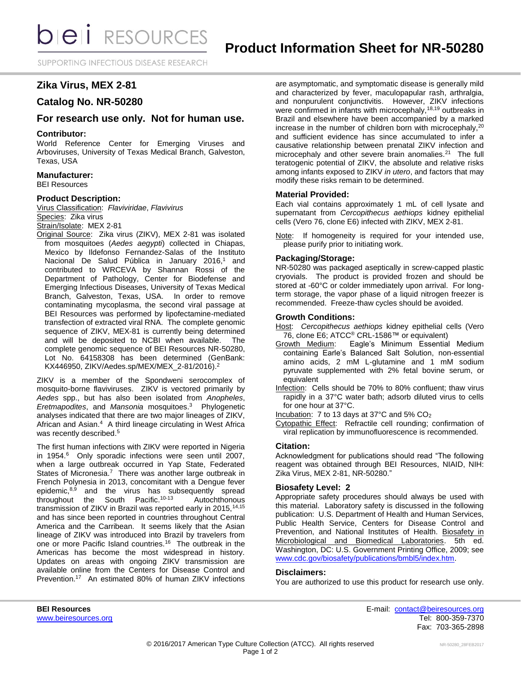SUPPORTING INFECTIOUS DISEASE RESEARCH

# **Zika Virus, MEX 2-81**

# **Catalog No. NR-50280**

# **For research use only. Not for human use.**

# **Contributor:**

World Reference Center for Emerging Viruses and Arboviruses, University of Texas Medical Branch, Galveston, Texas, USA

# **Manufacturer:**

BEI Resources

# **Product Description:**

Virus Classification: *Flaviviridae*, *Flavivirus* Species: Zika virus Strain/Isolate: MEX 2-81

Original Source: Zika virus (ZIKV), MEX 2-81 was isolated from mosquitoes (*Aedes aegypti*) collected in Chiapas, Mexico by Ildefonso Fernandez-Salas of the Instituto Nacional De Salud Pública in January 2016,<sup>1</sup> and contributed to WRCEVA by Shannan Rossi of the Department of Pathology, Center for Biodefense and Emerging Infectious Diseases, University of Texas Medical Branch, Galveston, Texas, USA. In order to remove contaminating mycoplasma, the second viral passage at BEI Resources was performed by lipofectamine-mediated transfection of extracted viral RNA. The complete genomic sequence of ZIKV, MEX-81 is currently being determined and will be deposited to NCBI when available. The complete genomic sequence of BEI Resources NR-50280, Lot No. 64158308 has been determined (GenBank: KX446950, ZIKV/Aedes.sp/MEX/MEX\_2-81/2016).<sup>2</sup>

ZIKV is a member of the Spondweni serocomplex of mosquito-borne flaviviruses. ZIKV is vectored primarily by *Aedes* spp., but has also been isolated from *Anopheles*, *Eretmapodites*, and *Mansonia* mosquitoes.<sup>3</sup> Phylogenetic analyses indicated that there are two major lineages of ZIKV, African and Asian.<sup>4</sup> A third lineage circulating in West Africa was recently described.<sup>5</sup>

The first human infections with ZIKV were reported in Nigeria in 1954.<sup>6</sup> Only sporadic infections were seen until 2007, when a large outbreak occurred in Yap State, Federated States of Micronesia.<sup>7</sup> There was another large outbreak in French Polynesia in 2013, concomitant with a Dengue fever epidemic, $8,9$  and the virus has subsequently spread throughout the South Pacific.10-13 Autochthonous transmission of ZIKV in Brazil was reported early in 2015, 14, 15 and has since been reported in countries throughout Central America and the Carribean. It seems likely that the Asian lineage of ZIKV was introduced into Brazil by travelers from one or more Pacific Island countries.<sup>16</sup> The outbreak in the Americas has become the most widespread in history. Updates on areas with ongoing ZIKV transmission are available online from the Centers for Disease Control and Prevention.<sup>17</sup> An estimated 80% of human ZIKV infections are asymptomatic, and symptomatic disease is generally mild and characterized by fever, maculopapular rash, arthralgia, and nonpurulent conjunctivitis. However, ZIKV infections were confirmed in infants with microcephaly,<sup>18,19</sup> outbreaks in Brazil and elsewhere have been accompanied by a marked increase in the number of children born with microcephaly,<sup>20</sup> and sufficient evidence has since accumulated to infer a causative relationship between prenatal ZIKV infection and microcephaly and other severe brain anomalies.<sup>21</sup> The full teratogenic potential of ZIKV, the absolute and relative risks among infants exposed to ZIKV *in utero*, and factors that may modify these risks remain to be determined.

#### **Material Provided:**

Each vial contains approximately 1 mL of cell lysate and supernatant from *Cercopithecus aethiops* kidney epithelial cells (Vero 76, clone E6) infected with ZIKV, MEX 2-81.

Note: If homogeneity is required for your intended use, please purify prior to initiating work.

# **Packaging/Storage:**

NR-50280 was packaged aseptically in screw-capped plastic cryovials. The product is provided frozen and should be stored at -60°C or colder immediately upon arrival. For longterm storage, the vapor phase of a liquid nitrogen freezer is recommended. Freeze-thaw cycles should be avoided.

#### **Growth Conditions:**

Host: *Cercopithecus aethiops* kidney epithelial cells (Vero

- 76, clone E6; ATCC<sup>®</sup> CRL-1586™ or equivalent)<br>Growth Medium: Eagle's Minimum Essential Eagle's Minimum Essential Medium containing Earle's Balanced Salt Solution, non-essential amino acids, 2 mM L-glutamine and 1 mM sodium pyruvate supplemented with 2% fetal bovine serum, or equivalent
- Infection: Cells should be 70% to 80% confluent; thaw virus rapidly in a 37°C water bath; adsorb diluted virus to cells for one hour at 37°C.
- Incubation: 7 to 13 days at 37°C and 5% CO<sup>2</sup>
- Cytopathic Effect: Refractile cell rounding; confirmation of viral replication by immunofluorescence is recommended.

# **Citation:**

Acknowledgment for publications should read "The following reagent was obtained through BEI Resources, NIAID, NIH: Zika Virus, MEX 2-81, NR-50280."

# **Biosafety Level: 2**

Appropriate safety procedures should always be used with this material. Laboratory safety is discussed in the following publication: U.S. Department of Health and Human Services, Public Health Service, Centers for Disease Control and Prevention, and National Institutes of Health. Biosafety in Microbiological and Biomedical Laboratories. 5th ed. Washington, DC: U.S. Government Printing Office, 2009; see [www.cdc.gov/biosafety/publications/bmbl5/index.htm.](http://www.cdc.gov/biosafety/publications/bmbl5/index.htm)

#### **Disclaimers:**

You are authorized to use this product for research use only.

**BEI Resources** E-mail: [contact@beiresources.org](mailto:contact@beiresources.org) [www.beiresources.org](http://www.beiresources.org/) **Tel: 800-359-7370** Fax: 703-365-2898